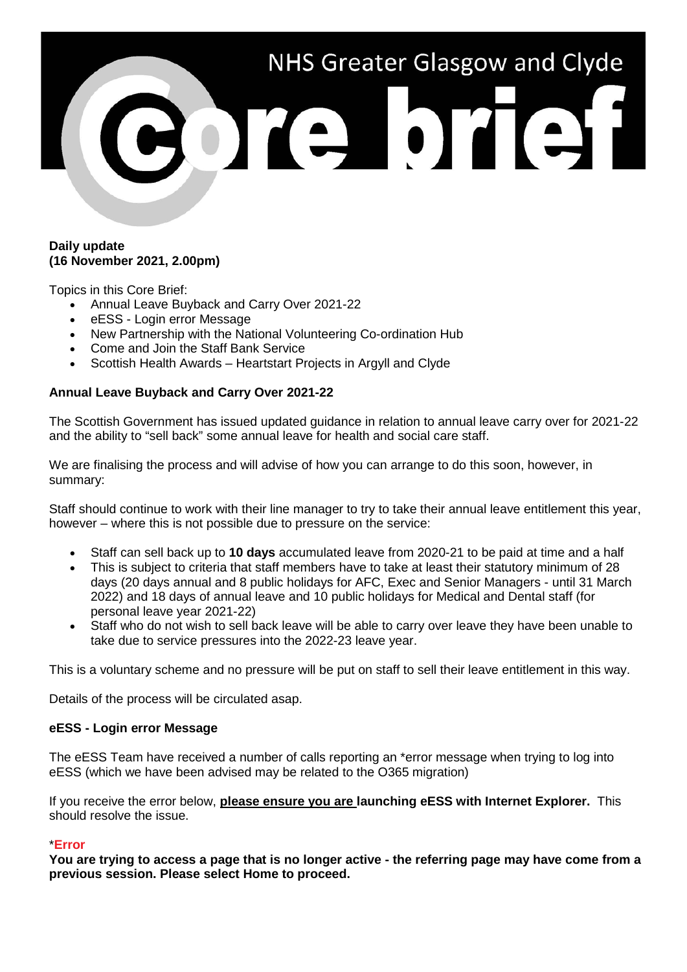# NHS Greater Glasgow and Clyde TA DTAI

### **Daily update (16 November 2021, 2.00pm)**

Topics in this Core Brief:

- Annual Leave Buyback and Carry Over 2021-22
- eESS Login error Message
- New Partnership with the National Volunteering Co-ordination Hub
- Come and Join the Staff Bank Service
- Scottish Health Awards Heartstart Projects in Argyll and Clyde

# **Annual Leave Buyback and Carry Over 2021-22**

The Scottish Government has issued updated guidance in relation to annual leave carry over for 2021-22 and the ability to "sell back" some annual leave for health and social care staff.

We are finalising the process and will advise of how you can arrange to do this soon, however, in summary:

Staff should continue to work with their line manager to try to take their annual leave entitlement this year, however – where this is not possible due to pressure on the service:

- Staff can sell back up to **10 days** accumulated leave from 2020-21 to be paid at time and a half
- This is subject to criteria that staff members have to take at least their statutory minimum of 28 days (20 days annual and 8 public holidays for AFC, Exec and Senior Managers - until 31 March 2022) and 18 days of annual leave and 10 public holidays for Medical and Dental staff (for personal leave year 2021-22)
- Staff who do not wish to sell back leave will be able to carry over leave they have been unable to take due to service pressures into the 2022-23 leave year.

This is a voluntary scheme and no pressure will be put on staff to sell their leave entitlement in this way.

Details of the process will be circulated asap.

## **eESS - Login error Message**

The eESS Team have received a number of calls reporting an \*error message when trying to log into eESS (which we have been advised may be related to the O365 migration)

If you receive the error below, **please ensure you are launching eESS with Internet Explorer.** This should resolve the issue.

## \***Error**

**You are trying to access a page that is no longer active - the referring page may have come from a previous session. Please select Home to proceed.**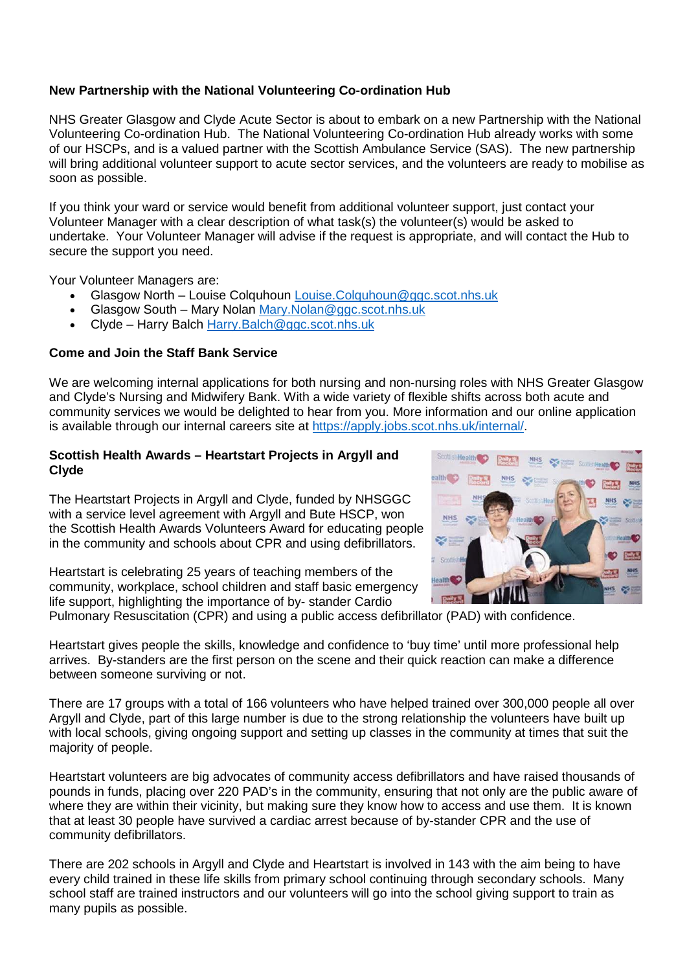# **New Partnership with the National Volunteering Co-ordination Hub**

NHS Greater Glasgow and Clyde Acute Sector is about to embark on a new Partnership with the National Volunteering Co-ordination Hub. The National Volunteering Co-ordination Hub already works with some of our HSCPs, and is a valued partner with the Scottish Ambulance Service (SAS). The new partnership will bring additional volunteer support to acute sector services, and the volunteers are ready to mobilise as soon as possible.

If you think your ward or service would benefit from additional volunteer support, just contact your Volunteer Manager with a clear description of what task(s) the volunteer(s) would be asked to undertake. Your Volunteer Manager will advise if the request is appropriate, and will contact the Hub to secure the support you need.

Your Volunteer Managers are:

- Glasgow North Louise Colquhoun [Louise.Colquhoun@ggc.scot.nhs.uk](mailto:Louise.Colquhoun@ggc.scot.nhs.uk)
- Glasgow South Mary Nolan [Mary.Nolan@ggc.scot.nhs.uk](mailto:Mary.Nolan@ggc.scot.nhs.uk)
- Clyde Harry Balch [Harry.Balch@ggc.scot.nhs.uk](mailto:Harry.Balch@ggc.scot.nhs.uk)

# **Come and Join the Staff Bank Service**

We are welcoming internal applications for both nursing and non-nursing roles with NHS Greater Glasgow and Clyde's Nursing and Midwifery Bank. With a wide variety of flexible shifts across both acute and community services we would be delighted to hear from you. More information and our online application is available through our internal careers site at [https://apply.jobs.scot.nhs.uk/internal/.](https://apply.jobs.scot.nhs.uk/internal/)

### **Scottish Health Awards – Heartstart Projects in Argyll and Clyde**

The Heartstart Projects in Argyll and Clyde, funded by NHSGGC with a service level agreement with Argyll and Bute HSCP, won the Scottish Health Awards Volunteers Award for educating people in the community and schools about CPR and using defibrillators.

Heartstart is celebrating 25 years of teaching members of the community, workplace, school children and staff basic emergency life support, highlighting the importance of by- stander Cardio



Heartstart gives people the skills, knowledge and confidence to 'buy time' until more professional help arrives. By-standers are the first person on the scene and their quick reaction can make a difference between someone surviving or not.

There are 17 groups with a total of 166 volunteers who have helped trained over 300,000 people all over Argyll and Clyde, part of this large number is due to the strong relationship the volunteers have built up with local schools, giving ongoing support and setting up classes in the community at times that suit the majority of people.

Heartstart volunteers are big advocates of community access defibrillators and have raised thousands of pounds in funds, placing over 220 PAD's in the community, ensuring that not only are the public aware of where they are within their vicinity, but making sure they know how to access and use them. It is known that at least 30 people have survived a cardiac arrest because of by-stander CPR and the use of community defibrillators.

There are 202 schools in Argyll and Clyde and Heartstart is involved in 143 with the aim being to have every child trained in these life skills from primary school continuing through secondary schools. Many school staff are trained instructors and our volunteers will go into the school giving support to train as many pupils as possible.